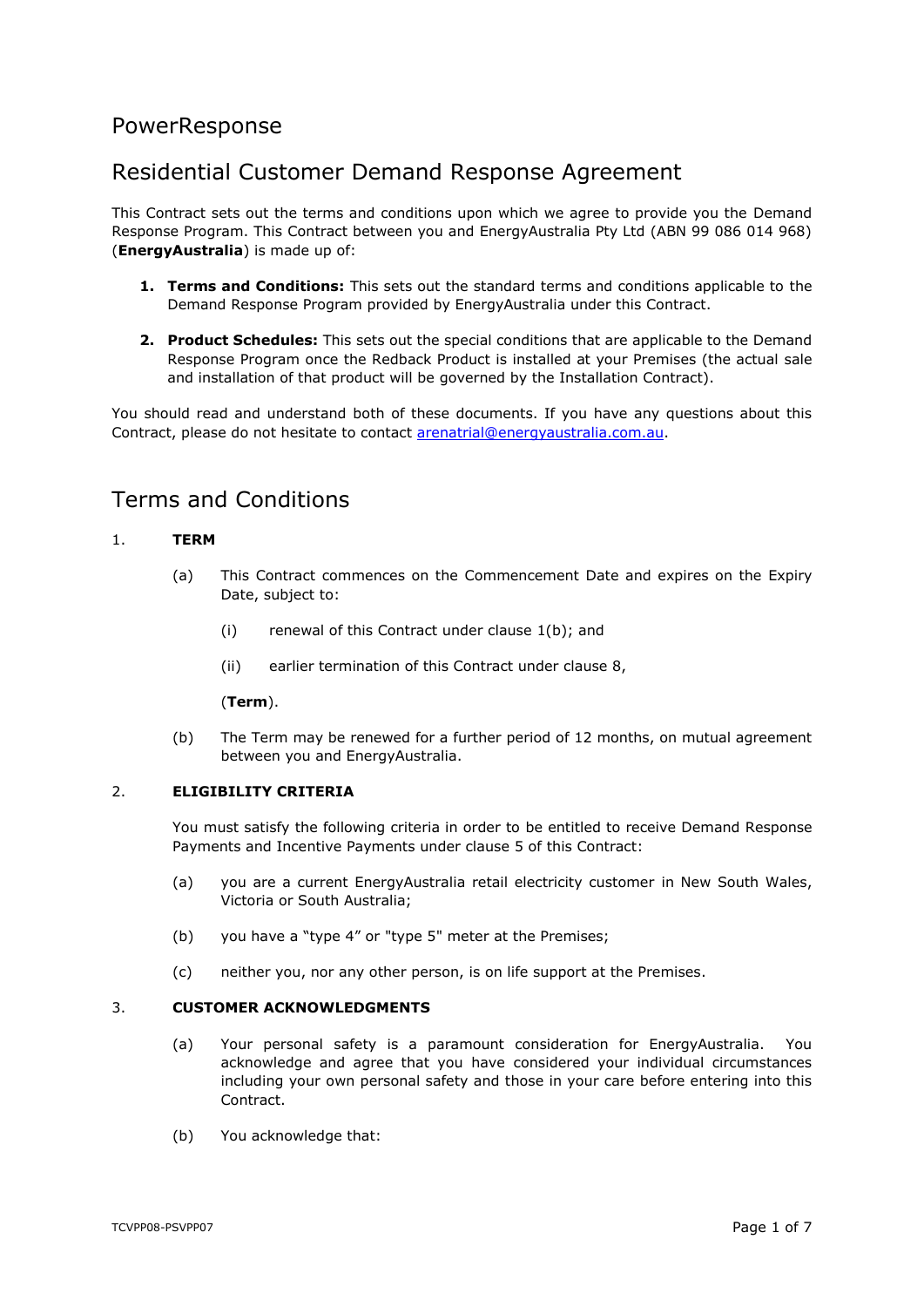# PowerResponse

# Residential Customer Demand Response Agreement

This Contract sets out the terms and conditions upon which we agree to provide you the Demand Response Program. This Contract between you and EnergyAustralia Pty Ltd (ABN 99 086 014 968) (**EnergyAustralia**) is made up of:

- **1. Terms and Conditions:** This sets out the standard terms and conditions applicable to the Demand Response Program provided by EnergyAustralia under this Contract.
- **2. Product Schedules:** This sets out the special conditions that are applicable to the Demand Response Program once the Redback Product is installed at your Premises (the actual sale and installation of that product will be governed by the Installation Contract).

You should read and understand both of these documents. If you have any questions about this Contract, please do not hesitate to contact [arenatrial@energyaustralia.com.au.](mailto:arenatrial@energyaustralia.com.au)

# Terms and Conditions

## <span id="page-0-2"></span>1. **TERM**

- (a) This Contract commences on the Commencement Date and expires on the Expiry Date, subject to:
	- (i) renewal of this Contract under clause [1\(b\);](#page-0-0) and
	- (ii) earlier termination of this Contract under clause [8,](#page-3-0)

#### (**Term**).

(b) The Term may be renewed for a further period of 12 months, on mutual agreement between you and EnergyAustralia.

## <span id="page-0-1"></span><span id="page-0-0"></span>2. **ELIGIBILITY CRITERIA**

You must satisfy the following criteria in order to be entitled to receive Demand Response Payments and Incentive Payments under clause [5](#page-1-0) of this Contract:

- (a) you are a current EnergyAustralia retail electricity customer in New South Wales, Victoria or South Australia;
- (b) you have a "type 4" or "type 5" meter at the Premises;
- (c) neither you, nor any other person, is on life support at the Premises.

#### 3. **CUSTOMER ACKNOWLEDGMENTS**

- (a) Your personal safety is a paramount consideration for EnergyAustralia. You acknowledge and agree that you have considered your individual circumstances including your own personal safety and those in your care before entering into this **Contract**
- (b) You acknowledge that: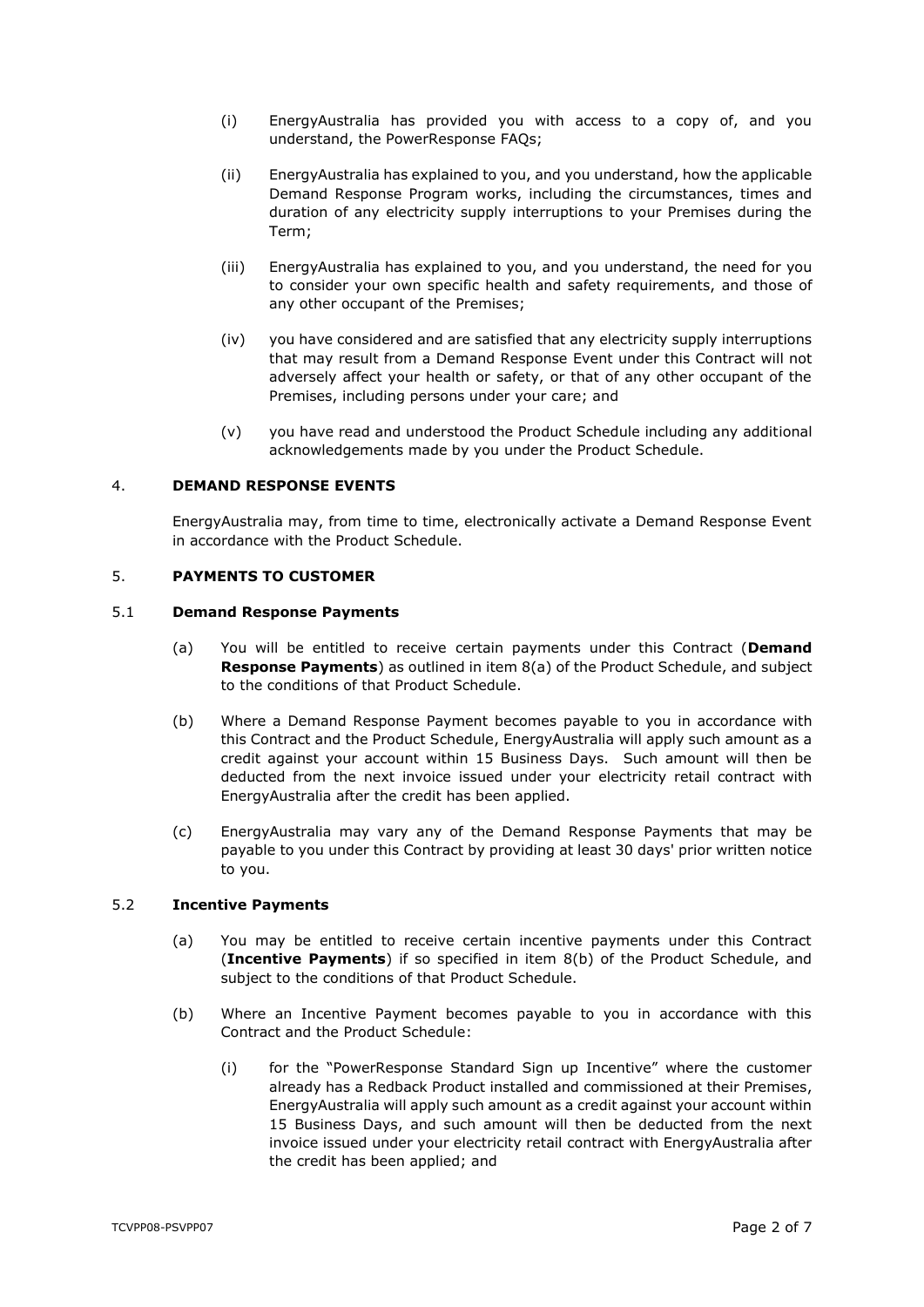- (i) EnergyAustralia has provided you with access to a copy of, and you understand, the PowerResponse FAQs;
- (ii) EnergyAustralia has explained to you, and you understand, how the applicable Demand Response Program works, including the circumstances, times and duration of any electricity supply interruptions to your Premises during the Term;
- (iii) EnergyAustralia has explained to you, and you understand, the need for you to consider your own specific health and safety requirements, and those of any other occupant of the Premises;
- (iv) you have considered and are satisfied that any electricity supply interruptions that may result from a Demand Response Event under this Contract will not adversely affect your health or safety, or that of any other occupant of the Premises, including persons under your care; and
- (v) you have read and understood the Product Schedule including any additional acknowledgements made by you under the Product Schedule.

## 4. **DEMAND RESPONSE EVENTS**

EnergyAustralia may, from time to time, electronically activate a Demand Response Event in accordance with the Product Schedule.

## <span id="page-1-0"></span>5. **PAYMENTS TO CUSTOMER**

#### <span id="page-1-3"></span><span id="page-1-2"></span>5.1 **Demand Response Payments**

- (a) You will be entitled to receive certain payments under this Contract (**Demand Response Payments**) as outlined in item [8\(a\)](#page-9-0) of the Product Schedule, and subject to the conditions of that Product Schedule.
- (b) Where a Demand Response Payment becomes payable to you in accordance with this Contract and the Product Schedule, EnergyAustralia will apply such amount as a credit against your account within 15 Business Days. Such amount will then be deducted from the next invoice issued under your electricity retail contract with EnergyAustralia after the credit has been applied.
- <span id="page-1-5"></span>(c) EnergyAustralia may vary any of the Demand Response Payments that may be payable to you under this Contract by providing at least 30 days' prior written notice to you.

#### <span id="page-1-4"></span>5.2 **Incentive Payments**

- (a) You may be entitled to receive certain incentive payments under this Contract (**Incentive Payments**) if so specified in item [8\(b\)](#page-9-1) of the Product Schedule, and subject to the conditions of that Product Schedule.
- <span id="page-1-1"></span>(b) Where an Incentive Payment becomes payable to you in accordance with this Contract and the Product Schedule:
	- (i) for the "PowerResponse Standard Sign up Incentive" where the customer already has a Redback Product installed and commissioned at their Premises, EnergyAustralia will apply such amount as a credit against your account within 15 Business Days, and such amount will then be deducted from the next invoice issued under your electricity retail contract with EnergyAustralia after the credit has been applied; and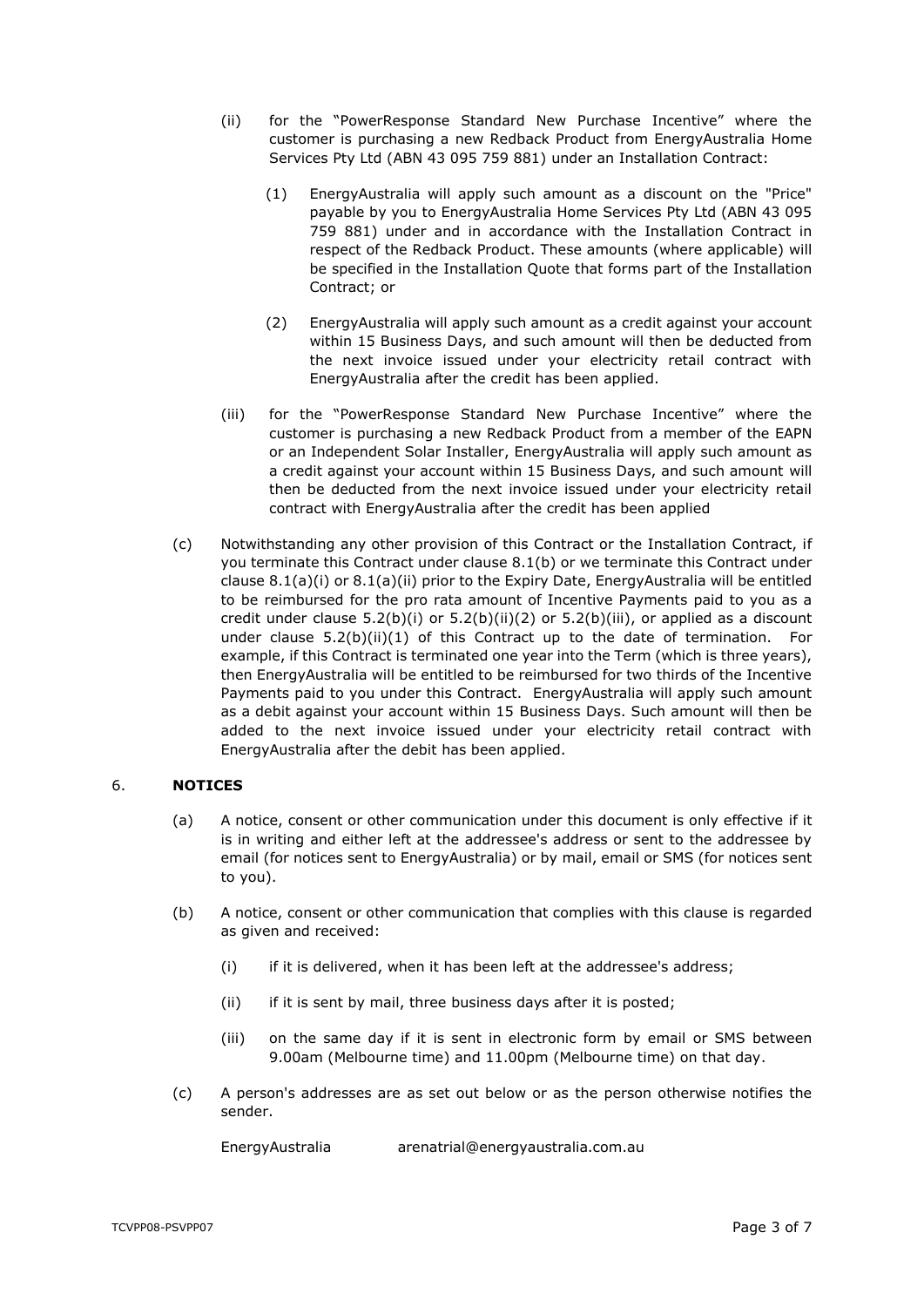- <span id="page-2-3"></span><span id="page-2-2"></span>(ii) for the "PowerResponse Standard New Purchase Incentive" where the customer is purchasing a new Redback Product from EnergyAustralia Home Services Pty Ltd (ABN 43 095 759 881) under an Installation Contract:
	- (1) EnergyAustralia will apply such amount as a discount on the "Price" payable by you to EnergyAustralia Home Services Pty Ltd (ABN 43 095 759 881) under and in accordance with the Installation Contract in respect of the Redback Product. These amounts (where applicable) will be specified in the Installation Quote that forms part of the Installation Contract; or
	- (2) EnergyAustralia will apply such amount as a credit against your account within 15 Business Days, and such amount will then be deducted from the next invoice issued under your electricity retail contract with EnergyAustralia after the credit has been applied.
- <span id="page-2-1"></span><span id="page-2-0"></span>(iii) for the "PowerResponse Standard New Purchase Incentive" where the customer is purchasing a new Redback Product from a member of the EAPN or an Independent Solar Installer, EnergyAustralia will apply such amount as a credit against your account within 15 Business Days, and such amount will then be deducted from the next invoice issued under your electricity retail contract with EnergyAustralia after the credit has been applied
- <span id="page-2-4"></span>(c) Notwithstanding any other provision of this Contract or the Installation Contract, if you terminate this Contract under clause [8.1\(b\)](#page-3-1) or we terminate this Contract under clause [8.1\(a\)\(i\)](#page-3-2) or [8.1\(a\)\(ii\)](#page-3-3) prior to the Expiry Date, EnergyAustralia will be entitled to be reimbursed for the pro rata amount of Incentive Payments paid to you as a credit under clause  $5.2(b)(i)$  or  $5.2(b)(ii)(2)$  $5.2(b)(ii)(2)$  or  $5.2(b)(iii)$ , or applied as a discount under clause  $5.2(b)(ii)(1)$  $5.2(b)(ii)(1)$  of this Contract up to the date of termination. For example, if this Contract is terminated one year into the Term (which is three years), then EnergyAustralia will be entitled to be reimbursed for two thirds of the Incentive Payments paid to you under this Contract. EnergyAustralia will apply such amount as a debit against your account within 15 Business Days. Such amount will then be added to the next invoice issued under your electricity retail contract with EnergyAustralia after the debit has been applied.

## 6. **NOTICES**

- (a) A notice, consent or other communication under this document is only effective if it is in writing and either left at the addressee's address or sent to the addressee by email (for notices sent to EnergyAustralia) or by mail, email or SMS (for notices sent to you).
- (b) A notice, consent or other communication that complies with this clause is regarded as given and received:
	- (i) if it is delivered, when it has been left at the addressee's address;
	- (ii) if it is sent by mail, three business days after it is posted;
	- (iii) on the same day if it is sent in electronic form by email or SMS between 9.00am (Melbourne time) and 11.00pm (Melbourne time) on that day.
- (c) A person's addresses are as set out below or as the person otherwise notifies the sender.

EnergyAustralia arenatrial@energyaustralia.com.au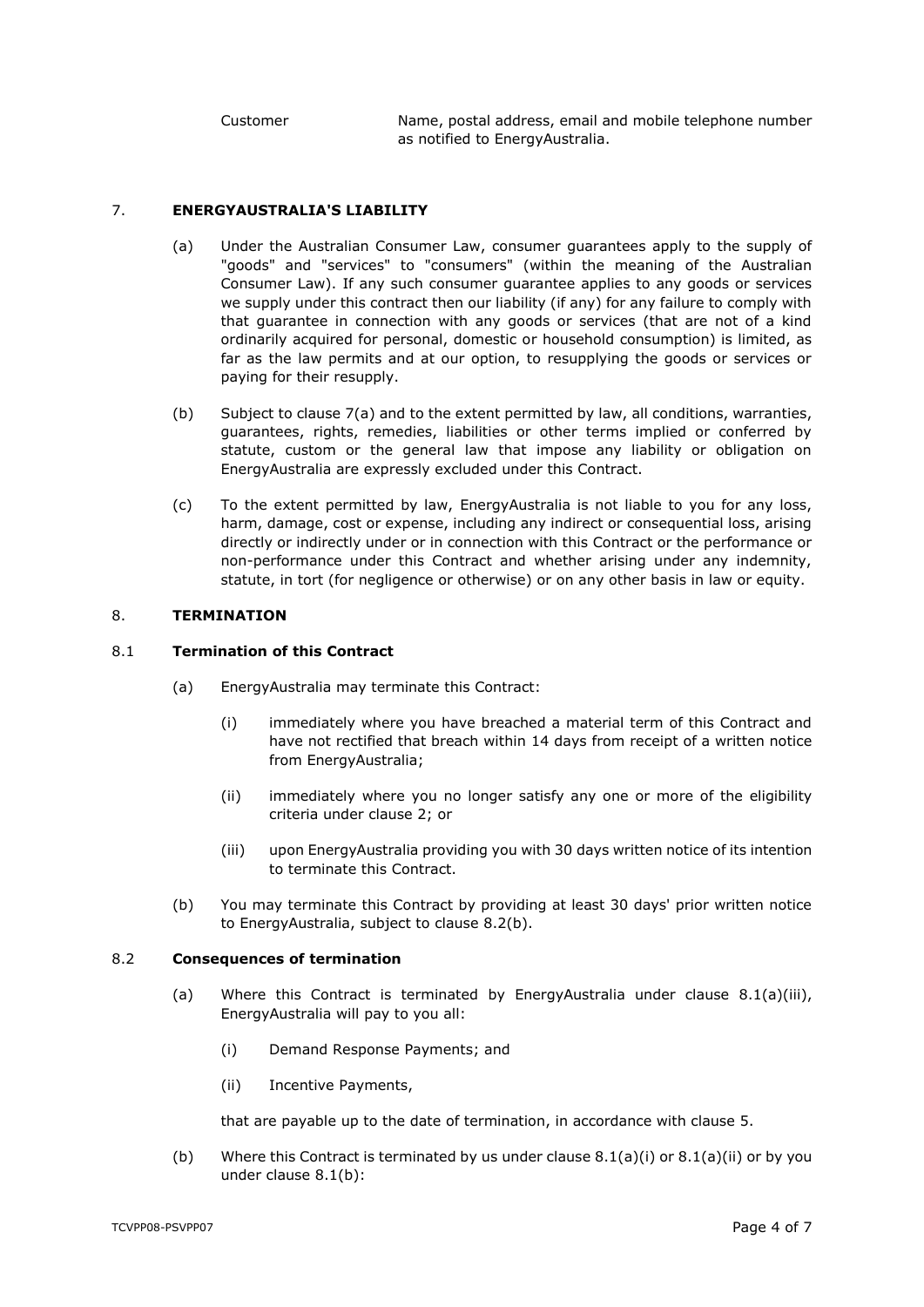Customer Name, postal address, email and mobile telephone number as notified to EnergyAustralia.

### <span id="page-3-4"></span>7. **ENERGYAUSTRALIA'S LIABILITY**

- (a) Under the Australian Consumer Law, consumer guarantees apply to the supply of "goods" and "services" to "consumers" (within the meaning of the Australian Consumer Law). If any such consumer guarantee applies to any goods or services we supply under this contract then our liability (if any) for any failure to comply with that guarantee in connection with any goods or services (that are not of a kind ordinarily acquired for personal, domestic or household consumption) is limited, as far as the law permits and at our option, to resupplying the goods or services or paying for their resupply.
- (b) Subject to clause [7\(a\)](#page-3-4) and to the extent permitted by law, all conditions, warranties, guarantees, rights, remedies, liabilities or other terms implied or conferred by statute, custom or the general law that impose any liability or obligation on EnergyAustralia are expressly excluded under this Contract.
- (c) To the extent permitted by law, EnergyAustralia is not liable to you for any loss, harm, damage, cost or expense, including any indirect or consequential loss, arising directly or indirectly under or in connection with this Contract or the performance or non-performance under this Contract and whether arising under any indemnity, statute, in tort (for negligence or otherwise) or on any other basis in law or equity.

#### <span id="page-3-0"></span>8. **TERMINATION**

#### <span id="page-3-2"></span>8.1 **Termination of this Contract**

- <span id="page-3-3"></span>(a) EnergyAustralia may terminate this Contract:
	- (i) immediately where you have breached a material term of this Contract and have not rectified that breach within 14 days from receipt of a written notice from EnergyAustralia;
	- (ii) immediately where you no longer satisfy any one or more of the eligibility criteria under clause [2;](#page-0-1) or
	- (iii) upon EnergyAustralia providing you with 30 days written notice of its intention to terminate this Contract.
- <span id="page-3-6"></span>(b) You may terminate this Contract by providing at least 30 days' prior written notice to EnergyAustralia, subject to clause [8.2\(b\).](#page-3-5)

#### <span id="page-3-1"></span>8.2 **Consequences of termination**

- (a) Where this Contract is terminated by EnergyAustralia under clause  $8.1(a)(iii)$ , EnergyAustralia will pay to you all:
	- (i) Demand Response Payments; and
	- (ii) Incentive Payments,

that are payable up to the date of termination, in accordance with clause [5.](#page-1-0)

<span id="page-3-5"></span>(b) Where this Contract is terminated by us under clause  $8.1(a)(i)$  or  $8.1(a)(ii)$  or by you under clause [8.1\(b\):](#page-3-1)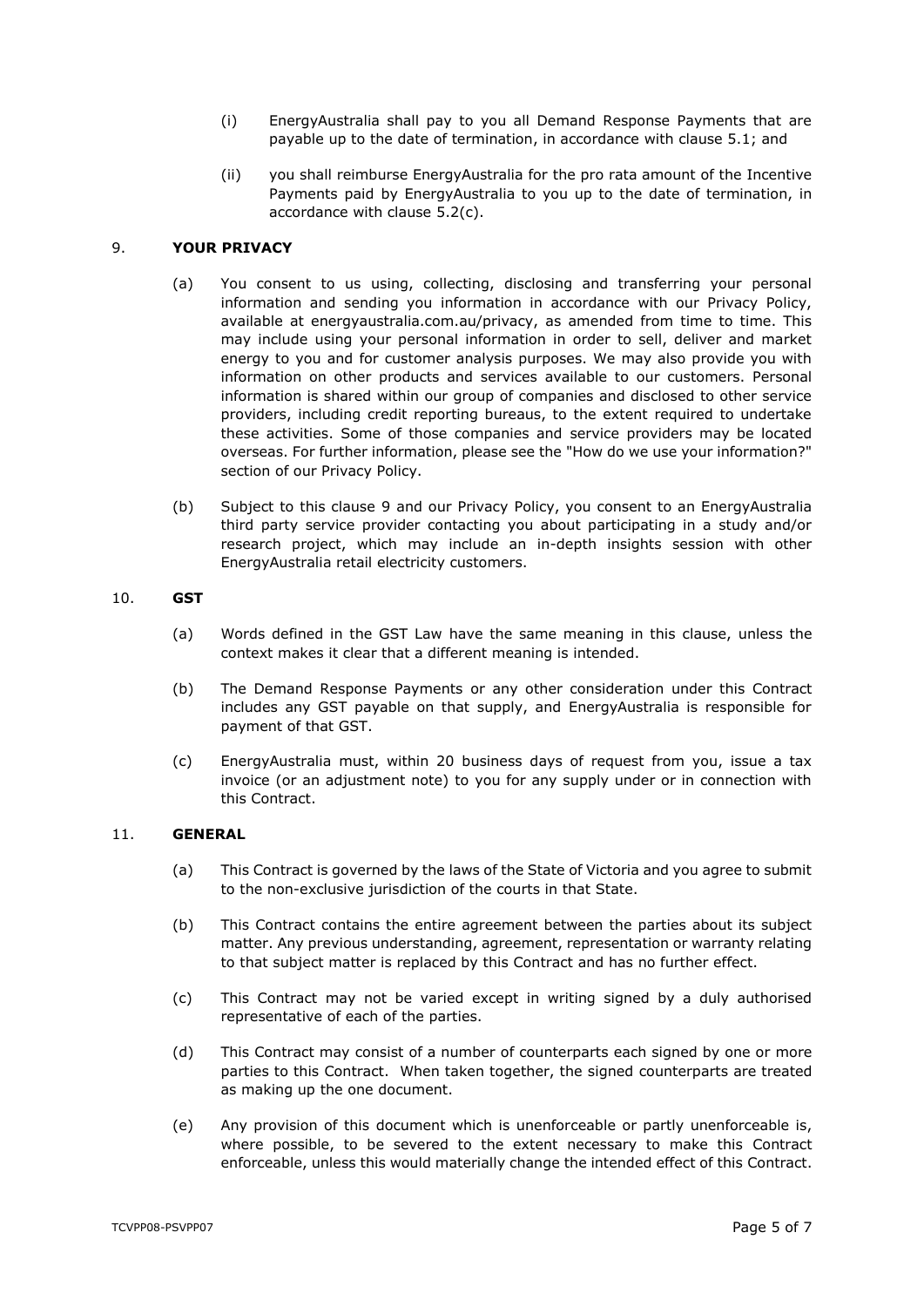- (i) EnergyAustralia shall pay to you all Demand Response Payments that are payable up to the date of termination, in accordance with clause [5.1;](#page-1-2) and
- (ii) you shall reimburse EnergyAustralia for the pro rata amount of the Incentive Payments paid by EnergyAustralia to you up to the date of termination, in accordance with clause [5.2\(c\).](#page-2-4)

### <span id="page-4-0"></span>9. **YOUR PRIVACY**

- (a) You consent to us using, collecting, disclosing and transferring your personal information and sending you information in accordance with our Privacy Policy, available at energyaustralia.com.au/privacy, as amended from time to time. This may include using your personal information in order to sell, deliver and market energy to you and for customer analysis purposes. We may also provide you with information on other products and services available to our customers. Personal information is shared within our group of companies and disclosed to other service providers, including credit reporting bureaus, to the extent required to undertake these activities. Some of those companies and service providers may be located overseas. For further information, please see the "How do we use your information?" section of our Privacy Policy.
- (b) Subject to this clause [9](#page-4-0) and our Privacy Policy, you consent to an EnergyAustralia third party service provider contacting you about participating in a study and/or research project, which may include an in-depth insights session with other EnergyAustralia retail electricity customers.

#### 10. **GST**

- (a) Words defined in the GST Law have the same meaning in this clause, unless the context makes it clear that a different meaning is intended.
- (b) The Demand Response Payments or any other consideration under this Contract includes any GST payable on that supply, and EnergyAustralia is responsible for payment of that GST.
- (c) EnergyAustralia must, within 20 business days of request from you, issue a tax invoice (or an adjustment note) to you for any supply under or in connection with this Contract.

### 11. **GENERAL**

- (a) This Contract is governed by the laws of the State of Victoria and you agree to submit to the non-exclusive jurisdiction of the courts in that State.
- (b) This Contract contains the entire agreement between the parties about its subject matter. Any previous understanding, agreement, representation or warranty relating to that subject matter is replaced by this Contract and has no further effect.
- (c) This Contract may not be varied except in writing signed by a duly authorised representative of each of the parties.
- (d) This Contract may consist of a number of counterparts each signed by one or more parties to this Contract. When taken together, the signed counterparts are treated as making up the one document.
- (e) Any provision of this document which is unenforceable or partly unenforceable is, where possible, to be severed to the extent necessary to make this Contract enforceable, unless this would materially change the intended effect of this Contract.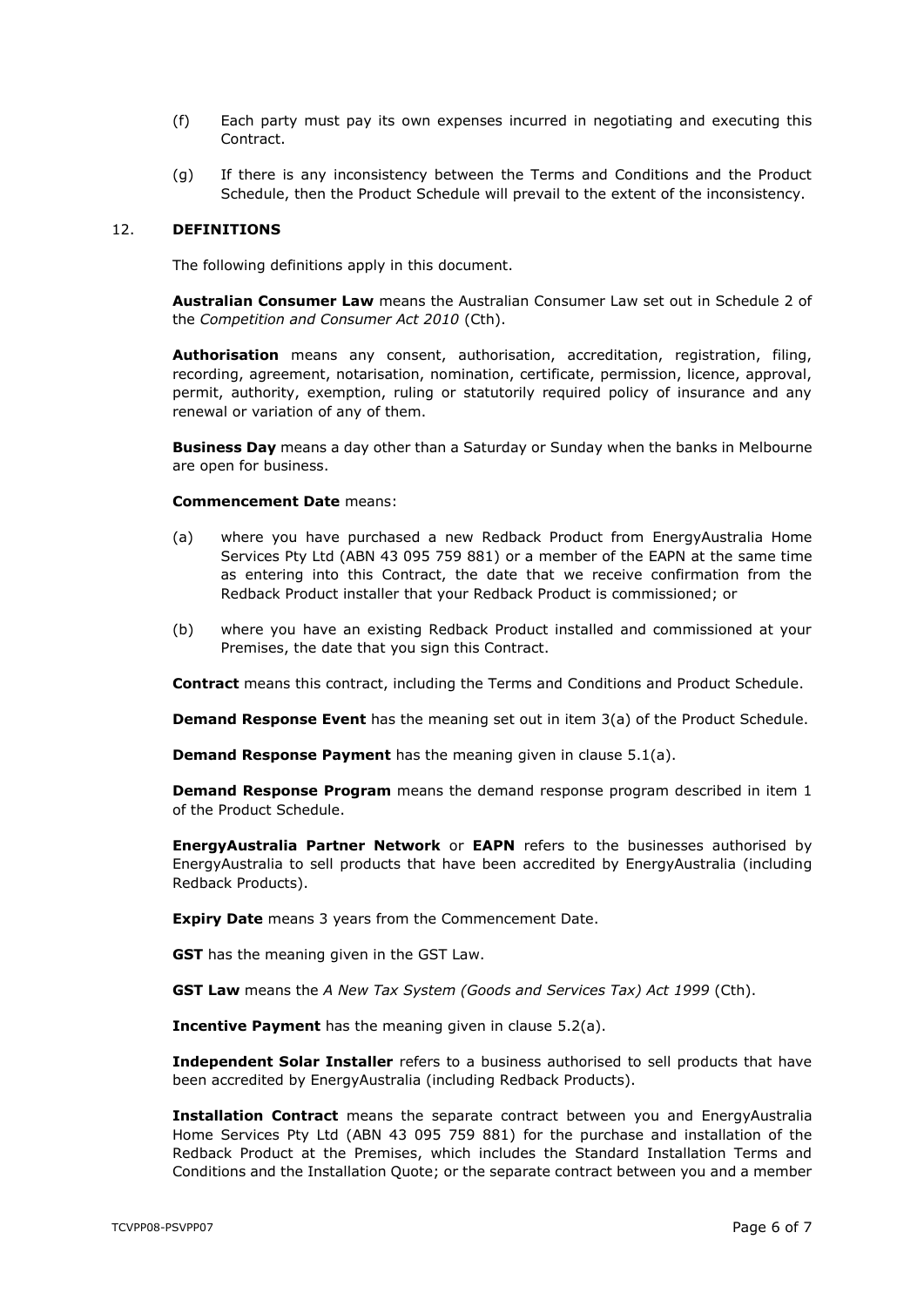- (f) Each party must pay its own expenses incurred in negotiating and executing this Contract.
- (g) If there is any inconsistency between the Terms and Conditions and the Product Schedule, then the Product Schedule will prevail to the extent of the inconsistency.

#### 12. **DEFINITIONS**

The following definitions apply in this document.

**Australian Consumer Law** means the Australian Consumer Law set out in Schedule 2 of the *Competition and Consumer Act 2010* (Cth).

**Authorisation** means any consent, authorisation, accreditation, registration, filing, recording, agreement, notarisation, nomination, certificate, permission, licence, approval, permit, authority, exemption, ruling or statutorily required policy of insurance and any renewal or variation of any of them.

**Business Day** means a day other than a Saturday or Sunday when the banks in Melbourne are open for business.

#### **Commencement Date** means:

- (a) where you have purchased a new Redback Product from EnergyAustralia Home Services Pty Ltd (ABN 43 095 759 881) or a member of the EAPN at the same time as entering into this Contract, the date that we receive confirmation from the Redback Product installer that your Redback Product is commissioned; or
- (b) where you have an existing Redback Product installed and commissioned at your Premises, the date that you sign this Contract.

**Contract** means this contract, including the Terms and Conditions and Product Schedule.

**Demand Response Event** has the meaning set out in item [3\(a\)](#page-7-0) of the Product Schedule.

**Demand Response Payment** has the meaning given in clause [5.1\(a\).](#page-1-3)

**Demand Response Program** means the demand response program described in item [1](#page-7-1) of the Product Schedule.

**EnergyAustralia Partner Network** or **EAPN** refers to the businesses authorised by EnergyAustralia to sell products that have been accredited by EnergyAustralia (including Redback Products).

**Expiry Date** means 3 years from the Commencement Date.

**GST** has the meaning given in the GST Law.

**GST Law** means the *A New Tax System (Goods and Services Tax) Act 1999* (Cth).

**Incentive Payment** has the meaning given in clause [5.2\(a\).](#page-1-4)

**Independent Solar Installer** refers to a business authorised to sell products that have been accredited by EnergyAustralia (including Redback Products).

**Installation Contract** means the separate contract between you and EnergyAustralia Home Services Pty Ltd (ABN 43 095 759 881) for the purchase and installation of the Redback Product at the Premises, which includes the Standard Installation Terms and Conditions and the Installation Quote; or the separate contract between you and a member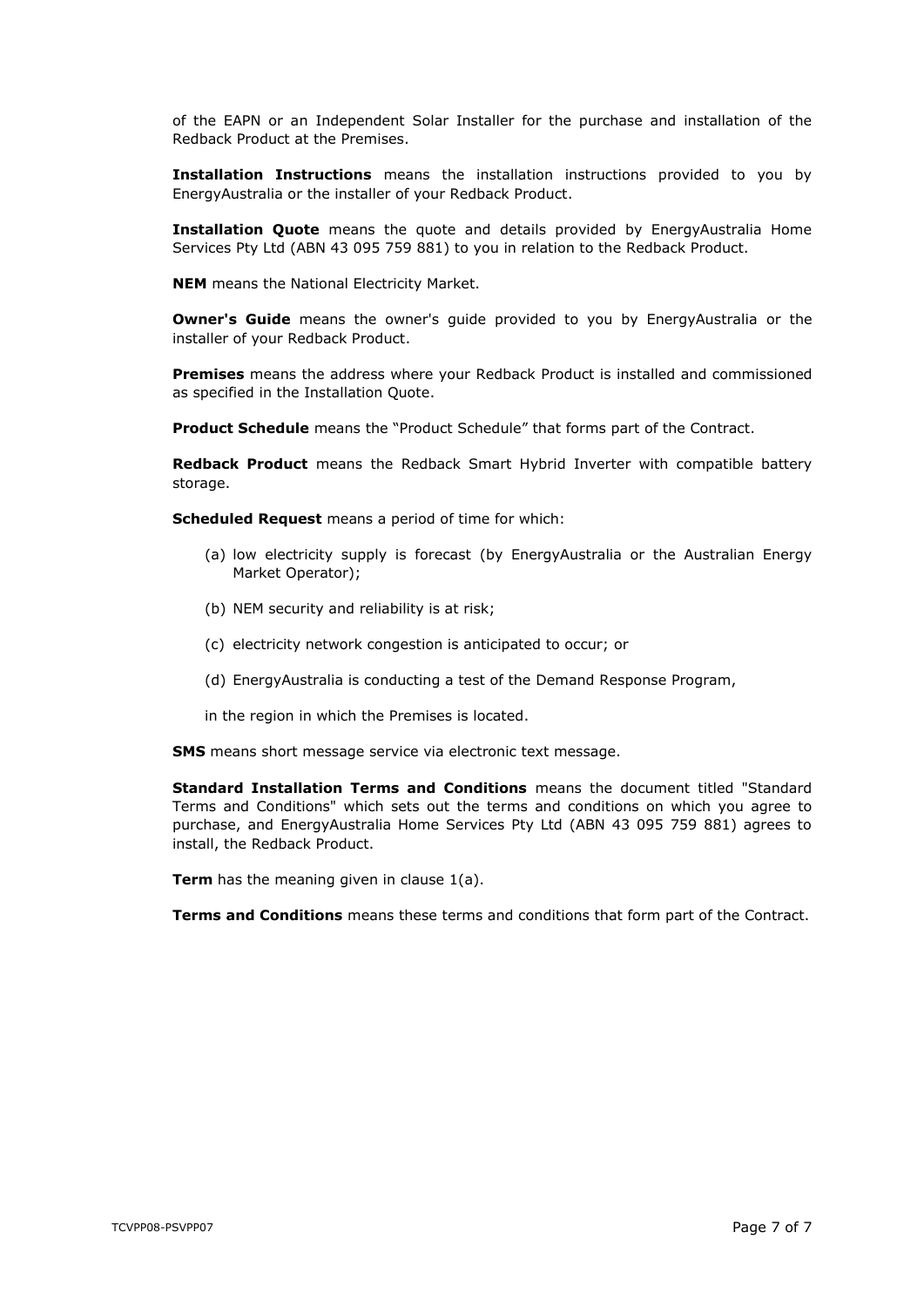of the EAPN or an Independent Solar Installer for the purchase and installation of the Redback Product at the Premises.

**Installation Instructions** means the installation instructions provided to you by EnergyAustralia or the installer of your Redback Product.

**Installation Quote** means the quote and details provided by EnergyAustralia Home Services Pty Ltd (ABN 43 095 759 881) to you in relation to the Redback Product.

**NEM** means the National Electricity Market.

**Owner's Guide** means the owner's guide provided to you by EnergyAustralia or the installer of your Redback Product.

**Premises** means the address where your Redback Product is installed and commissioned as specified in the Installation Quote.

**Product Schedule** means the "Product Schedule" that forms part of the Contract.

**Redback Product** means the Redback Smart Hybrid Inverter with compatible battery storage.

**Scheduled Request** means a period of time for which:

- (a) low electricity supply is forecast (by EnergyAustralia or the Australian Energy Market Operator);
- (b) NEM security and reliability is at risk;
- (c) electricity network congestion is anticipated to occur; or
- (d) EnergyAustralia is conducting a test of the Demand Response Program,
- in the region in which the Premises is located.

**SMS** means short message service via electronic text message.

**Standard Installation Terms and Conditions** means the document titled "Standard Terms and Conditions" which sets out the terms and conditions on which you agree to purchase, and EnergyAustralia Home Services Pty Ltd (ABN 43 095 759 881) agrees to install, the Redback Product.

**Term** has the meaning given in clause [1\(a\).](#page-0-2)

**Terms and Conditions** means these terms and conditions that form part of the Contract.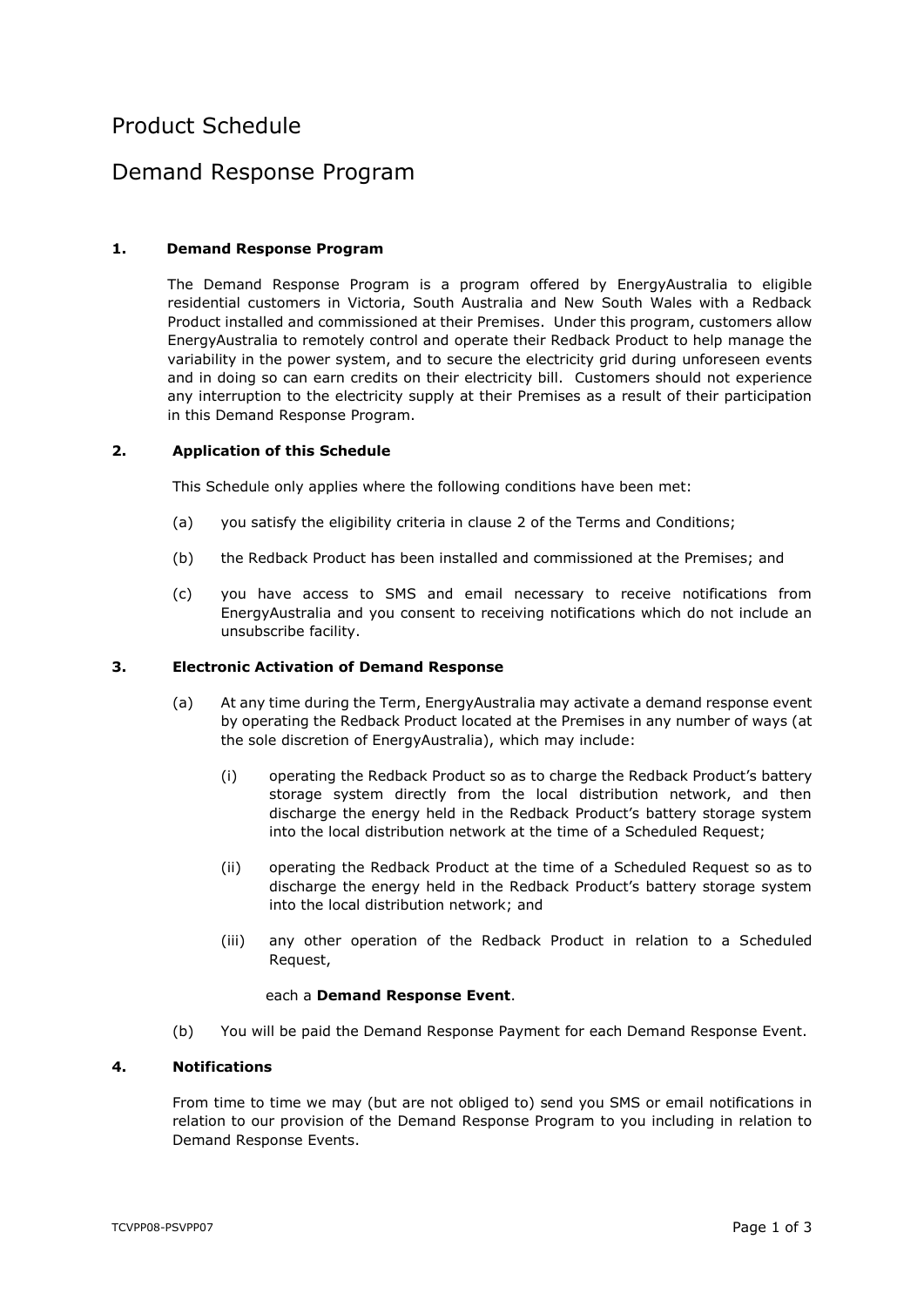# Product Schedule

## Demand Response Program

## <span id="page-7-1"></span>**1. Demand Response Program**

The Demand Response Program is a program offered by EnergyAustralia to eligible residential customers in Victoria, South Australia and New South Wales with a Redback Product installed and commissioned at their Premises. Under this program, customers allow EnergyAustralia to remotely control and operate their Redback Product to help manage the variability in the power system, and to secure the electricity grid during unforeseen events and in doing so can earn credits on their electricity bill. Customers should not experience any interruption to the electricity supply at their Premises as a result of their participation in this Demand Response Program.

### **2. Application of this Schedule**

This Schedule only applies where the following conditions have been met:

- (a) you satisfy the eligibility criteria in clause [2](#page-0-1) of the Terms and Conditions;
- (b) the Redback Product has been installed and commissioned at the Premises; and
- (c) you have access to SMS and email necessary to receive notifications from EnergyAustralia and you consent to receiving notifications which do not include an unsubscribe facility.

#### <span id="page-7-0"></span>**3. Electronic Activation of Demand Response**

- (a) At any time during the Term, EnergyAustralia may activate a demand response event by operating the Redback Product located at the Premises in any number of ways (at the sole discretion of EnergyAustralia), which may include:
	- (i) operating the Redback Product so as to charge the Redback Product's battery storage system directly from the local distribution network, and then discharge the energy held in the Redback Product's battery storage system into the local distribution network at the time of a Scheduled Request;
	- (ii) operating the Redback Product at the time of a Scheduled Request so as to discharge the energy held in the Redback Product's battery storage system into the local distribution network; and
	- (iii) any other operation of the Redback Product in relation to a Scheduled Request,

#### each a **Demand Response Event**.

(b) You will be paid the Demand Response Payment for each Demand Response Event.

## **4. Notifications**

From time to time we may (but are not obliged to) send you SMS or email notifications in relation to our provision of the Demand Response Program to you including in relation to Demand Response Events.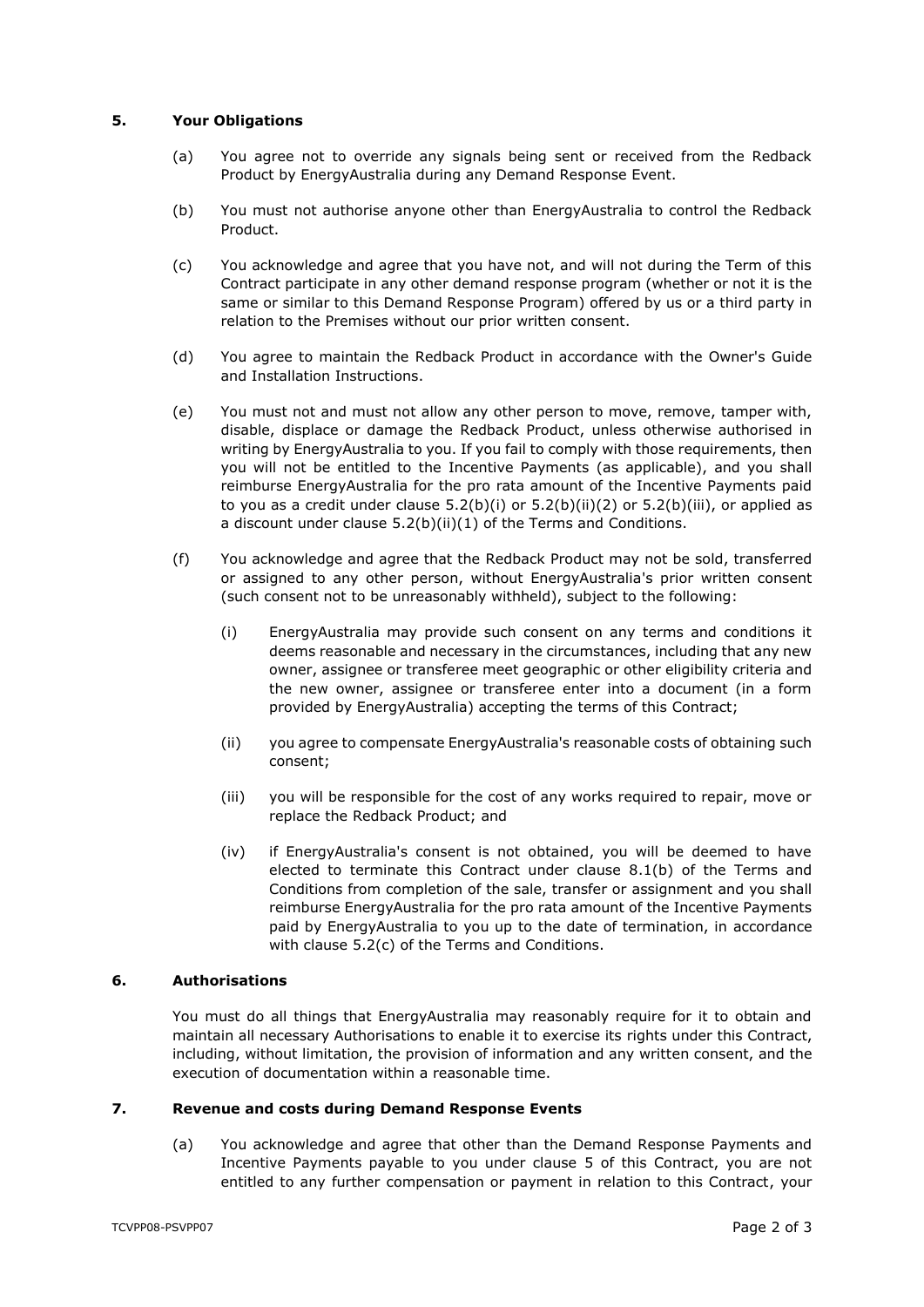## **5. Your Obligations**

- (a) You agree not to override any signals being sent or received from the Redback Product by EnergyAustralia during any Demand Response Event.
- (b) You must not authorise anyone other than EnergyAustralia to control the Redback Product.
- (c) You acknowledge and agree that you have not, and will not during the Term of this Contract participate in any other demand response program (whether or not it is the same or similar to this Demand Response Program) offered by us or a third party in relation to the Premises without our prior written consent.
- (d) You agree to maintain the Redback Product in accordance with the Owner's Guide and Installation Instructions.
- (e) You must not and must not allow any other person to move, remove, tamper with, disable, displace or damage the Redback Product, unless otherwise authorised in writing by EnergyAustralia to you. If you fail to comply with those requirements, then you will not be entitled to the Incentive Payments (as applicable), and you shall reimburse EnergyAustralia for the pro rata amount of the Incentive Payments paid to you as a credit under clause  $5.2(b)(i)$  or  $5.2(b)(ii)(2)$  $5.2(b)(ii)(2)$  or  $5.2(b)(iii)$ , or applied as a discount under clause [5.2\(b\)\(ii\)](#page-2-2)[\(1\)](#page-2-3) of the Terms and Conditions.
- (f) You acknowledge and agree that the Redback Product may not be sold, transferred or assigned to any other person, without EnergyAustralia's prior written consent (such consent not to be unreasonably withheld), subject to the following:
	- (i) EnergyAustralia may provide such consent on any terms and conditions it deems reasonable and necessary in the circumstances, including that any new owner, assignee or transferee meet geographic or other eligibility criteria and the new owner, assignee or transferee enter into a document (in a form provided by EnergyAustralia) accepting the terms of this Contract;
	- (ii) you agree to compensate EnergyAustralia's reasonable costs of obtaining such consent;
	- (iii) you will be responsible for the cost of any works required to repair, move or replace the Redback Product; and
	- (iv) if EnergyAustralia's consent is not obtained, you will be deemed to have elected to terminate this Contract under clause [8.1\(b\)](#page-3-1) of the Terms and Conditions from completion of the sale, transfer or assignment and you shall reimburse EnergyAustralia for the pro rata amount of the Incentive Payments paid by EnergyAustralia to you up to the date of termination, in accordance with clause [5.2\(c\)](#page-2-4) of the Terms and Conditions.

#### **6. Authorisations**

You must do all things that EnergyAustralia may reasonably require for it to obtain and maintain all necessary Authorisations to enable it to exercise its rights under this Contract, including, without limitation, the provision of information and any written consent, and the execution of documentation within a reasonable time.

### **7. Revenue and costs during Demand Response Events**

(a) You acknowledge and agree that other than the Demand Response Payments and Incentive Payments payable to you under clause [5](#page-1-0) of this Contract, you are not entitled to any further compensation or payment in relation to this Contract, your